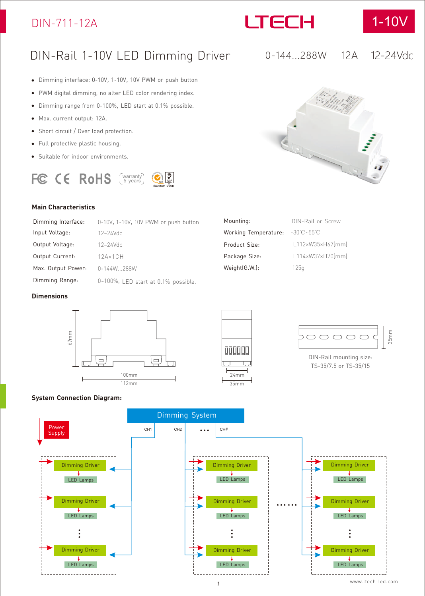### DIN-711-12A



0-144...288W



12A 12-24Vdc

### DIN-Rail 1-10V LED Dimming Driver

- Dimming interface: 0-10V, 1-10V, 10V PWM or push button
- PWM digital dimming, no alter LED color rendering index.  $\bullet$
- Dimming range from 0-100%, LED start at 0.1% possible.  $\bullet$
- Max. current output: 12A.  $\bullet$
- $\bullet$ Short circuit / Over load protection.
- Full protective plastic housing.  $\bullet$
- Suitable for indoor environments.

## warranty 5 years

#### **Main Characteristics**

| Dimming Interface: | 0-10V, 1-10V, 10V PWM or push button |
|--------------------|--------------------------------------|
| Input Voltage:     | $12 - 24$ Vdc                        |
| Output Voltage:    | $12 - 24$ Vdc                        |
| Output Current:    | $12A \times 1CH$                     |
| Max. Output Power: | 0-144W288W                           |
| Dimming Range:     | 0~100%, LED start at 0.1% possible.  |

#### **Dimensions**





Product Size: Package Size:

Weight(G.W.): 125g

Working Temperature: -30℃~55℃

Mounting: DIN-Rail or Screw



DIN-Rail mounting size: TS-35/7.5 or TS-35/15

#### **System Connection Diagram:**





L112×W35×H67(mm) L114×W37×H70(mm)